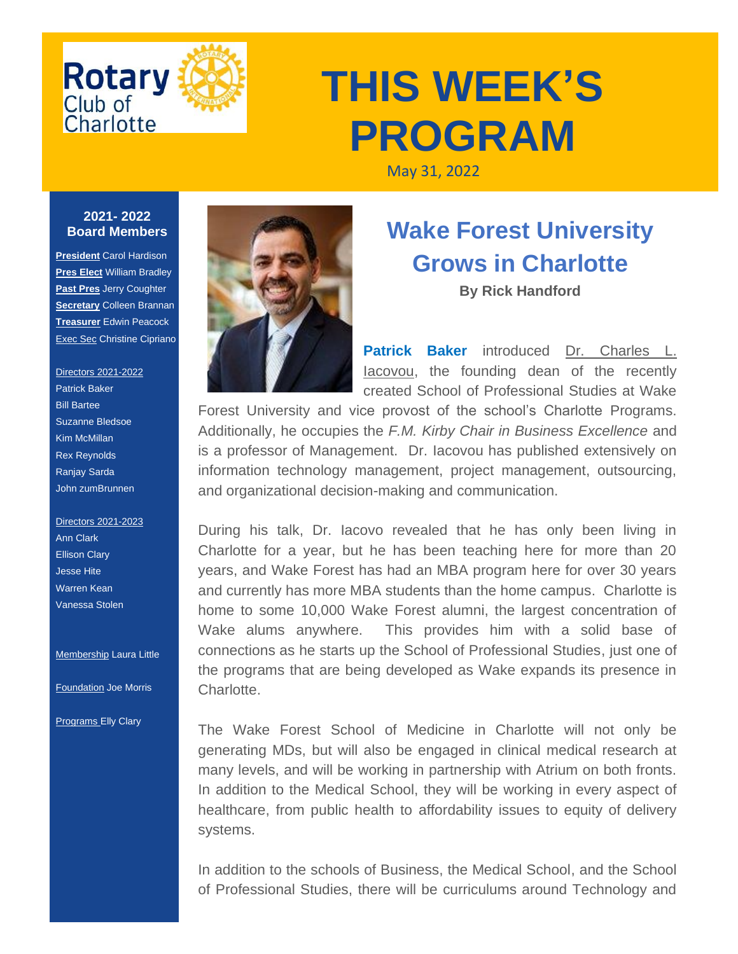

## **THIS WEEK'S PROGRAM**

May 31, 2022

## **2021- 2022 Board Members**

**President** Carol Hardison **Pres Elect** William Bradley **Past Pres** Jerry Coughter **Secretary** Colleen Brannan **Treasurer** Edwin Peacock **Exec Sec Christine Cipriano** 

## Directors 2021-2022 Patrick Baker Bill Bartee Suzanne Bledsoe Kim McMillan Rex Reynolds Ranjay Sarda

Directors 2021-2023 Ann Clark Ellison Clary Jesse Hite Warren Kean Vanessa Stolen

John zumBrunnen

**Membership Laura Little** 

Foundation Joe Morris

**Programs Elly Clary** 



## **Wake Forest University Grows in Charlotte**

**By Rick Handford**

**Patrick Baker** introduced [Dr. Charles L.](https://r20.rs6.net/tn.jsp?f=001R117QF_51kRi-CQv10lQdEY6pbDmikTWQutzj-GkKuScxphDwgSHAbfVKnXo2pz3yq8KNorVhdTpWr4rDMqQ51cOhixPVAIPFwnUrk-gImh6YgInWwmVn3Jyo7zSaFLdNVTIeGAztsOll0ZmgZ72rrpfEvyHVs_-&c=olYR6DnmcgXHY-Qf_4eR2K6gV_jFTuB_HX3y96MKKsk6LREniWAAnA==&ch=Tgg8VNBpzbDOd_zBPU1Q4qi4e6cJSh5n05hJ9JlfQD2RdDvKUlE5tg==)  [Iacovou,](https://r20.rs6.net/tn.jsp?f=001R117QF_51kRi-CQv10lQdEY6pbDmikTWQutzj-GkKuScxphDwgSHAbfVKnXo2pz3yq8KNorVhdTpWr4rDMqQ51cOhixPVAIPFwnUrk-gImh6YgInWwmVn3Jyo7zSaFLdNVTIeGAztsOll0ZmgZ72rrpfEvyHVs_-&c=olYR6DnmcgXHY-Qf_4eR2K6gV_jFTuB_HX3y96MKKsk6LREniWAAnA==&ch=Tgg8VNBpzbDOd_zBPU1Q4qi4e6cJSh5n05hJ9JlfQD2RdDvKUlE5tg==) the founding dean of the recently created School of Professional Studies at Wake

Forest University and vice provost of the school's Charlotte Programs. Additionally, he occupies the *F.M. Kirby Chair in Business Excellence* and is a professor of Management. Dr. Iacovou has published extensively on information technology management, project management, outsourcing, and organizational decision-making and communication.

During his talk, Dr. Iacovo revealed that he has only been living in Charlotte for a year, but he has been teaching here for more than 20 years, and Wake Forest has had an MBA program here for over 30 years and currently has more MBA students than the home campus. Charlotte is home to some 10,000 Wake Forest alumni, the largest concentration of Wake alums anywhere. This provides him with a solid base of connections as he starts up the School of Professional Studies, just one of the programs that are being developed as Wake expands its presence in Charlotte.

The Wake Forest School of Medicine in Charlotte will not only be generating MDs, but will also be engaged in clinical medical research at many levels, and will be working in partnership with Atrium on both fronts. In addition to the Medical School, they will be working in every aspect of healthcare, from public health to affordability issues to equity of delivery systems.

In addition to the schools of Business, the Medical School, and the School of Professional Studies, there will be curriculums around Technology and